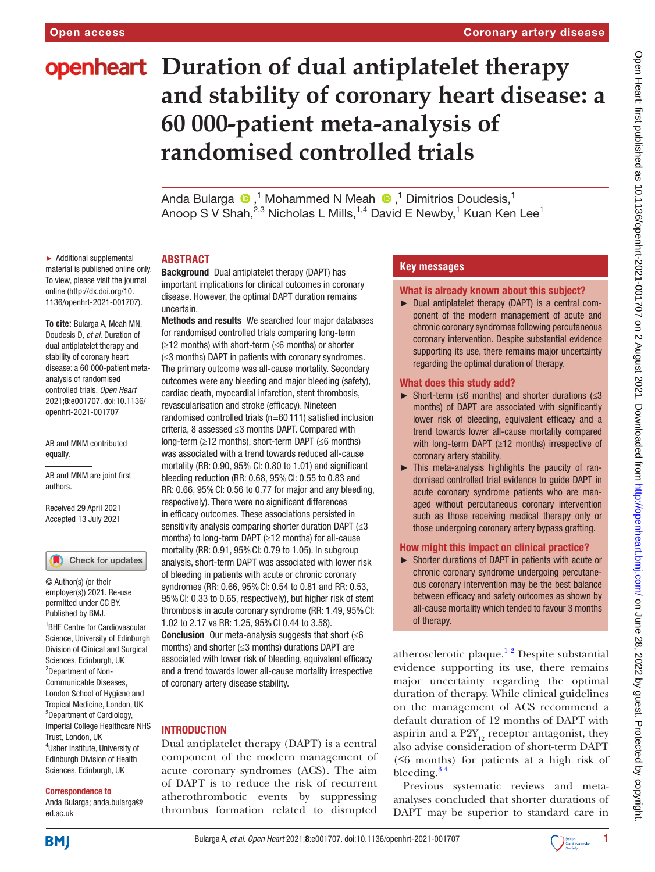# **openheart** Duration of dual antiplatelet therapy **and stability of coronary heart disease: a 60 000-patient meta-analysis of randomised controlled trials**

AndaBularga <sup>®</sup>,<sup>1</sup> Mohammed N Meah <sup>®</sup>,<sup>1</sup> Dimitrios Doudesis,<sup>1</sup> Anoop S V Shah, $^{2,3}$  Nicholas L Mills, $^{1,4}$  David E Newby, $^1$  Kuan Ken Lee $^1$ 

► Additional supplemental material is published online only. To view, please visit the journal online [\(http://dx.doi.org/10.](http://dx.doi.org/10.1136/openhrt-2021-001707) [1136/openhrt-2021-001707\)](http://dx.doi.org/10.1136/openhrt-2021-001707).

**To cite:** Bularga A, Meah MN, Doudesis D*, et al*. Duration of dual antiplatelet therapy and stability of coronary heart disease: a 60 000-patient metaanalysis of randomised controlled trials*. Open Heart* 2021;8:e001707. doi:10.1136/ openhrt-2021-001707

AB and MNM contributed equally.

AB and MNM are joint first authors.

Received 29 April 2021 Accepted 13 July 2021

Check for updates

© Author(s) (or their employer(s)) 2021. Re-use permitted under CC BY. Published by BMJ.

1 BHF Centre for Cardiovascular Science, University of Edinburgh Division of Clinical and Surgical Sciences, Edinburgh, UK <sup>2</sup>Department of Non-Communicable Diseases, London School of Hygiene and Tropical Medicine, London, UK <sup>3</sup>Department of Cardiology, Imperial College Healthcare NHS Trust, London, UK 4 Usher Institute, University of Edinburgh Division of Health Sciences, Edinburgh, UK

#### Correspondence to

Anda Bularga; anda.bularga@ ed.ac.uk

#### **ABSTRACT**

Background Dual antiplatelet therapy (DAPT) has important implications for clinical outcomes in coronary disease. However, the optimal DAPT duration remains uncertain.

Methods and results We searched four major databases for randomised controlled trials comparing long-term (≥12 months) with short-term (≤6 months) or shorter (≤3 months) DAPT in patients with coronary syndromes. The primary outcome was all-cause mortality. Secondary outcomes were any bleeding and major bleeding (safety), cardiac death, myocardial infarction, stent thrombosis, revascularisation and stroke (efficacy). Nineteen randomised controlled trials (n=60 111) satisfied inclusion criteria, 8 assessed ≤3 months DAPT. Compared with long-term (≥12 months), short-term DAPT (≤6 months) was associated with a trend towards reduced all-cause mortality (RR: 0.90, 95% CI: 0.80 to 1.01) and significant bleeding reduction (RR: 0.68, 95%CI: 0.55 to 0.83 and RR: 0.66, 95%CI: 0.56 to 0.77 for major and any bleeding, respectively). There were no significant differences in efficacy outcomes. These associations persisted in sensitivity analysis comparing shorter duration DAPT (≤3 months) to long-term DAPT (≥12 months) for all-cause mortality (RR: 0.91, 95%CI: 0.79 to 1.05). In subgroup analysis, short-term DAPT was associated with lower risk of bleeding in patients with acute or chronic coronary syndromes (RR: 0.66, 95%CI: 0.54 to 0.81 and RR: 0.53, 95%CI: 0.33 to 0.65, respectively), but higher risk of stent thrombosis in acute coronary syndrome (RR: 1.49, 95%CI: 1.02 to 2.17 vs RR: 1.25, 95%CI 0.44 to 3.58). **Conclusion** Our meta-analysis suggests that short  $(\leq 6)$ months) and shorter (≤3 months) durations DAPT are associated with lower risk of bleeding, equivalent efficacy and a trend towards lower all-cause mortality irrespective of coronary artery disease stability.

## INTRODUCTION

Dual antiplatelet therapy (DAPT) is a central component of the modern management of acute coronary syndromes (ACS). The aim of DAPT is to reduce the risk of recurrent atherothrombotic events by suppressing thrombus formation related to disrupted

## **Key messages**

- What is already known about this subject?
- ► Dual antiplatelet therapy (DAPT) is a central component of the modern management of acute and chronic coronary syndromes following percutaneous coronary intervention. Despite substantial evidence supporting its use, there remains major uncertainty regarding the optimal duration of therapy.

#### What does this study add?

- ► Short-term (≤6 months) and shorter durations ( $≤3$ months) of DAPT are associated with significantly lower risk of bleeding, equivalent efficacy and a trend towards lower all-cause mortality compared with long-term DAPT (≥12 months) irrespective of coronary artery stability.
- $\blacktriangleright$  This meta-analysis highlights the paucity of randomised controlled trial evidence to guide DAPT in acute coronary syndrome patients who are managed without percutaneous coronary intervention such as those receiving medical therapy only or those undergoing coronary artery bypass grafting.

## How might this impact on clinical practice?

► Shorter durations of DAPT in patients with acute or chronic coronary syndrome undergoing percutaneous coronary intervention may be the best balance between efficacy and safety outcomes as shown by all-cause mortality which tended to favour 3 months of therapy.

atherosclerotic plaque.<sup>12</sup> Despite substantial evidence supporting its use, there remains major uncertainty regarding the optimal duration of therapy. While clinical guidelines on the management of ACS recommend a default duration of 12 months of DAPT with aspirin and a  $P2Y_{12}$  receptor antagonist, they also advise consideration of short-term DAPT (≤6 months) for patients at a high risk of bleeding. $3<sup>4</sup>$ 

Previous systematic reviews and metaanalyses concluded that shorter durations of DAPT may be superior to standard care in



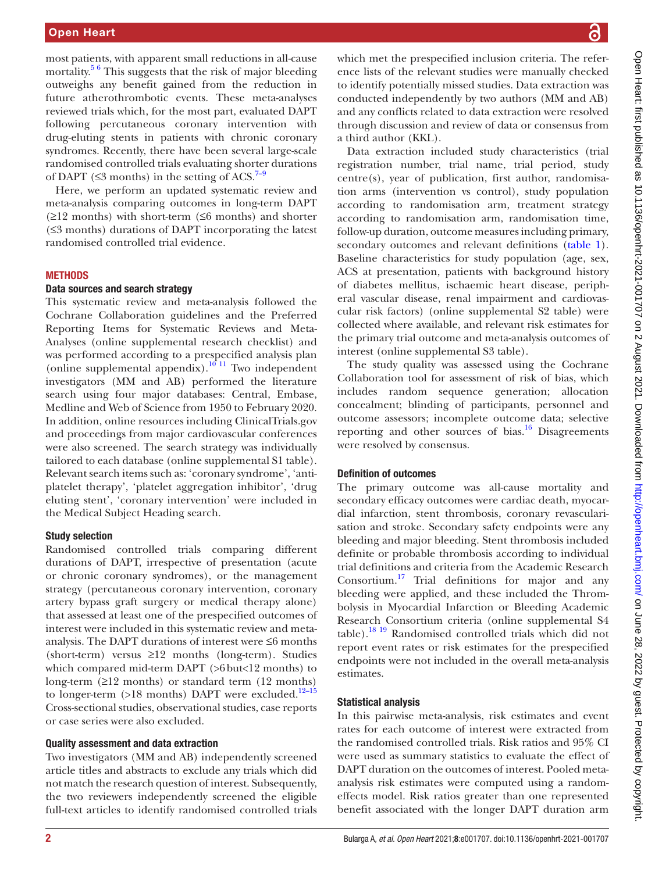most patients, with apparent small reductions in all-cause mortality.<sup>56</sup> This suggests that the risk of major bleeding outweighs any benefit gained from the reduction in future atherothrombotic events. These meta-analyses reviewed trials which, for the most part, evaluated DAPT following percutaneous coronary intervention with drug-eluting stents in patients with chronic coronary syndromes. Recently, there have been several large-scale randomised controlled trials evaluating shorter durations of DAPT ( $\leq$ 3 months) in the setting of ACS.<sup>[7–9](#page-9-0)</sup>

Here, we perform an updated systematic review and meta-analysis comparing outcomes in long-term DAPT  $(\geq 12$  months) with short-term ( $\leq 6$  months) and shorter (≤3 months) durations of DAPT incorporating the latest randomised controlled trial evidence.

## **METHODS**

#### Data sources and search strategy

This systematic review and meta-analysis followed the Cochrane Collaboration guidelines and the Preferred Reporting Items for Systematic Reviews and Meta-Analyses [\(online supplemental research checklist\)](https://dx.doi.org/10.1136/openhrt-2021-001707) and was performed according to a prespecified analysis plan ([online supplemental appendix\)](https://dx.doi.org/10.1136/openhrt-2021-001707). $10^{-11}$  Two independent investigators (MM and AB) performed the literature search using four major databases: Central, Embase, Medline and Web of Science from 1950 to February 2020. In addition, online resources including ClinicalTrials.gov and proceedings from major cardiovascular conferences were also screened. The search strategy was individually tailored to each database ([online supplemental S1 table](https://dx.doi.org/10.1136/openhrt-2021-001707)). Relevant search items such as: 'coronary syndrome', 'antiplatelet therapy', 'platelet aggregation inhibitor', 'drug eluting stent', 'coronary intervention' were included in the Medical Subject Heading search.

#### Study selection

Randomised controlled trials comparing different durations of DAPT, irrespective of presentation (acute or chronic coronary syndromes), or the management strategy (percutaneous coronary intervention, coronary artery bypass graft surgery or medical therapy alone) that assessed at least one of the prespecified outcomes of interest were included in this systematic review and metaanalysis. The DAPT durations of interest were ≤6 months (short-term) versus ≥12 months (long-term). Studies which compared mid-term DAPT (>6but<12 months) to long-term (≥12 months) or standard term (12 months) to longer-term (>18 months) DAPT were excluded.<sup>12-15</sup> Cross-sectional studies, observational studies, case reports or case series were also excluded.

#### Quality assessment and data extraction

Two investigators (MM and AB) independently screened article titles and abstracts to exclude any trials which did not match the research question of interest. Subsequently, the two reviewers independently screened the eligible full-text articles to identify randomised controlled trials

which met the prespecified inclusion criteria. The reference lists of the relevant studies were manually checked to identify potentially missed studies. Data extraction was conducted independently by two authors (MM and AB) and any conflicts related to data extraction were resolved through discussion and review of data or consensus from a third author (KKL).

Data extraction included study characteristics (trial registration number, trial name, trial period, study centre(s), year of publication, first author, randomisation arms (intervention vs control), study population according to randomisation arm, treatment strategy according to randomisation arm, randomisation time, follow-up duration, outcome measures including primary, secondary outcomes and relevant definitions [\(table](#page-2-0) 1). Baseline characteristics for study population (age, sex, ACS at presentation, patients with background history of diabetes mellitus, ischaemic heart disease, peripheral vascular disease, renal impairment and cardiovascular risk factors) [\(online supplemental S2 table](https://dx.doi.org/10.1136/openhrt-2021-001707)) were collected where available, and relevant risk estimates for the primary trial outcome and meta-analysis outcomes of interest ([online supplemental S3 table\)](https://dx.doi.org/10.1136/openhrt-2021-001707).

The study quality was assessed using the Cochrane Collaboration tool for assessment of risk of bias, which includes random sequence generation; allocation concealment; blinding of participants, personnel and outcome assessors; incomplete outcome data; selective reporting and other sources of bias. $16$  Disagreements were resolved by consensus.

#### Definition of outcomes

The primary outcome was all-cause mortality and secondary efficacy outcomes were cardiac death, myocardial infarction, stent thrombosis, coronary revascularisation and stroke. Secondary safety endpoints were any bleeding and major bleeding. Stent thrombosis included definite or probable thrombosis according to individual trial definitions and criteria from the Academic Research Consortium.<sup>[17](#page-9-4)</sup> Trial definitions for major and any bleeding were applied, and these included the Thrombolysis in Myocardial Infarction or Bleeding Academic Research Consortium criteria [\(online supplemental S4](https://dx.doi.org/10.1136/openhrt-2021-001707)  [table](https://dx.doi.org/10.1136/openhrt-2021-001707))[.18 19](#page-9-5) Randomised controlled trials which did not report event rates or risk estimates for the prespecified endpoints were not included in the overall meta-analysis estimates.

### Statistical analysis

In this pairwise meta-analysis, risk estimates and event rates for each outcome of interest were extracted from the randomised controlled trials. Risk ratios and 95% CI were used as summary statistics to evaluate the effect of DAPT duration on the outcomes of interest. Pooled metaanalysis risk estimates were computed using a randomeffects model. Risk ratios greater than one represented benefit associated with the longer DAPT duration arm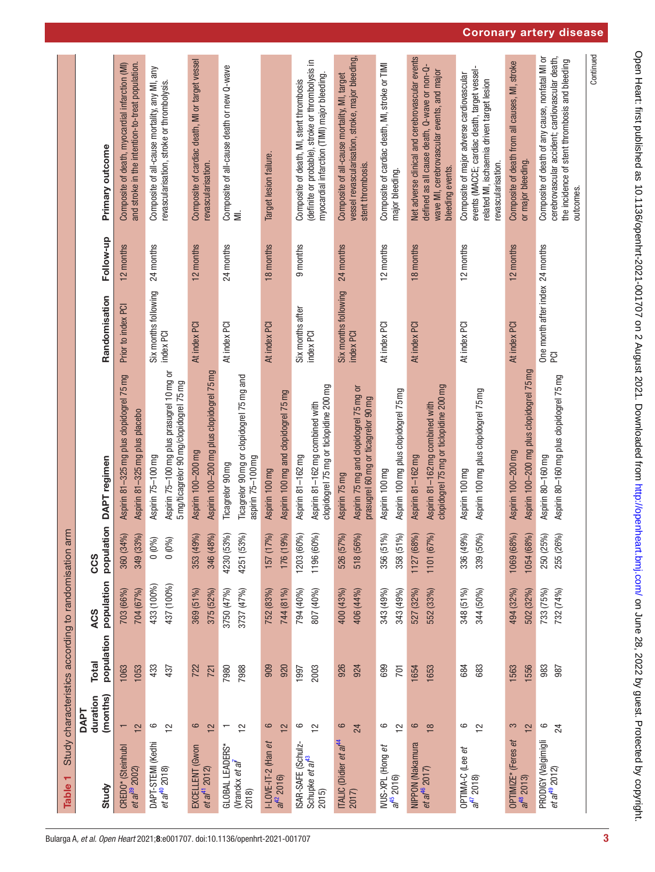<span id="page-2-0"></span>

| Table <sub>1</sub>                                               |                                           | Study characteristics according to randomisation arm |                          |                                                            |                                                                                                           |                                               |           |                                                                                                                                                                   |
|------------------------------------------------------------------|-------------------------------------------|------------------------------------------------------|--------------------------|------------------------------------------------------------|-----------------------------------------------------------------------------------------------------------|-----------------------------------------------|-----------|-------------------------------------------------------------------------------------------------------------------------------------------------------------------|
|                                                                  | <b>DAPT</b>                               |                                                      |                          | CCS                                                        |                                                                                                           |                                               |           |                                                                                                                                                                   |
| Study                                                            | (months)<br>duration                      | population<br><b>Total</b>                           | population<br>ACS        | population                                                 | DAPT regimen                                                                                              | Randomisation                                 | Follow-up | Primary outcome                                                                                                                                                   |
| CREDO* (Steinhubl<br>et a $l^{39}$ 2002)                         | 12                                        | 1053<br>1063                                         | 704 (67%)<br>703 (66%)   | 360 (34%)<br>349 (33%)                                     | Aspirin 81-325 mg plus clopidogrel 75 mg<br>Aspirin 81-325 mg plus placebo                                | Prior to index PCI                            | 12 months | and stroke in the intention-to-treat population.<br>Composite of death, myocardial infarction (MI)                                                                |
| DAPT-STEMI (Kedhi<br><i>et al</i> <sup>40</sup> 2018)            | $\circ$<br>$\approx$                      | 433<br>437                                           | 433 (100%)<br>437 (100%) | $0 (0\%)$<br>0(0%                                          | Aspirin 75-100 mg plus prasugrel 10 mg or<br>5 mg/ticagrelor 90 mg/clopidogrel 75 mg<br>Aspirin 75-100 mg | Six months following<br>index PCI             | 24 months | Composite of all-cause mortality, any MI, any<br>revascularisation, stroke or thrombolysis.                                                                       |
| EXCELLENT (Gwon<br>et a $f''$ 2012)                              | 6<br>$\frac{1}{2}$                        | 722<br>721                                           | 369 (51%)<br>375 (52%)   | 346 (48%)<br>353 (49%)                                     | Aspirin 100-200 mg plus clopidogrel 75 mg<br>Aspirin 100-200 mg                                           | At index PCI                                  | 12 months | Composite of cardiac death, MI or target vessel<br>revascularisation.                                                                                             |
| GLOBAL LEADERS*<br>(Vranckx <i>et al</i> <sup>1</sup><br>2018)   | $\frac{1}{2}$<br>$\overline{\phantom{0}}$ | 7980<br>7988                                         | 3737 (47%)<br>3750 (47%) | 4230 (53%)<br>4251 (53%)                                   | Ticagrelor 90 mg or clopidogrel 75 mg and<br>aspirin 75-100 mg<br>Ticagrelor 90 mg                        | At index PCI                                  | 24 months | Composite of all-cause death or new Q-wave<br>MI.                                                                                                                 |
| I-LOVE-IT-2 (Han <i>et</i><br>al <sup>42</sup> 2016)             | $\circ$<br>12                             | 920<br>909                                           | 752 (83%)<br>744 (81%)   | 176 (19%)<br>157 (17%)                                     | Aspirin 100 mg and clopidogrel 75 mg<br>Aspirin 100 mg                                                    | At index PCI                                  | 18 months | Target lesion failure.                                                                                                                                            |
| ISAR-SAFE (Schulz-<br>Schupke <i>et al</i> <sup>13</sup><br>2015 | 6<br>$\tilde{c}$                          | 2003<br>1997                                         | 794 (40%)<br>807 (40%)   | 1203 (60%)<br><b>Dol</b><br>1196 (60                       | clopidogrel 75 mg or ticlopidine 200 mg<br>Aspirin 81-162 mg combined with<br>Aspirin 81-162 mg           | Six months after<br>index PCI                 | 9 months  | (definite or probable), stroke or thrombolysis in<br>myocardial infarction (TIMI) major bleeding.<br>Composite of death, MI, stent thrombosis                     |
| ITALIC (Didier <i>et al<sup>44</sup></i><br>2017)                | $\mathbf{\Omega}$<br>24                   | 926<br>924                                           | 406 (44%)<br>400 (43%)   | 526 (57%)<br>518 (56%)                                     | Aspirin 75 mg and clopidogrel 75 mg or<br>prasugrel 60 mg or ticagrelor 90 mg<br>Aspirin 75 mg            | Six months following<br>index PCI             | 24 months | vessel revascularisation, stroke, major bleeding<br>Composite of all-cause mortality, MI, target<br>stent thrombosis.                                             |
| IVUS-XPL (Hong et<br>$a^{45}$ 2016)                              | 9<br>$\overline{2}$                       | 699<br>701                                           | 343 (49%)<br>343 (49%)   | $\mathcal{S}_0$<br>$\mathcal{S}_{0}$<br>356 (51<br>358 (51 | Aspirin 100 mg plus clopidogrel 75 mg<br>Aspirin 100 mg                                                   | At index PCI                                  | 12 months | Composite of cardiac death, MI, stroke or TIMI<br>major bleeding.                                                                                                 |
| NIPPON (Nakamura<br>et al $^{46}$ 2017)                          | $\circ$<br>$\frac{8}{1}$                  | 1653<br>1654                                         | 527 (32%)<br>552 (33%)   | 1127 (68%)<br>1101 (67%)                                   | clopidogrel 75 mg or ticlopidine 200 mg<br>Aspirin 81-162 mg combined with<br>Aspirin 81-162 mg           | At index PCI                                  | 18 months | Net adverse clinical and cerebrovascular events<br>defined as all cause death, Q-wave or non-Q-<br>wave MI, cerebrovascular events, and major<br>bleeding events. |
| OPTIMA-C (Lee <i>et</i><br>af <sup>47</sup> 2018)                | 6<br>$\frac{1}{2}$                        | 684<br>683                                           | 348 (51%)<br>344 (50%)   | 339 (50%)<br>336 (49%)                                     | Aspirin 100 mg plus clopidogrel 75 mg<br>Aspirin 100 mg                                                   | At index PCI                                  | 12 months | events (MACCE; cardiac death, target vessel-<br>Composite of major adverse cardiovascular<br>related MI, ischaemia driven target lesion<br>revascularisation.     |
| (Feres et<br>OPTIMIZE*<br>$a^{48}$ 2013)                         | S<br>$\frac{1}{2}$                        | 1556<br>1563                                         | 494 (32%)<br>502 (32%)   | 1054 (68%)<br>1069 (68%)                                   | Aspirin 100-200 mg plus clopidogrel 75 mg<br>Aspirin 100-200 mg                                           | At index PCI                                  | 12 months | Composite of death from all causes, MI, stroke<br>or major bleeding.                                                                                              |
| PRODIGY (Valgimigli<br>et al $t^8$ 2012)                         | 6<br>24                                   | 983<br>987                                           | 733 (75%)<br>732 (74%)   | 250 (25%)<br>255 (26%)                                     | Aspirin 80-160 mg plus clopidogrel 75 mg<br>Aspirin 80-160 mg                                             | One month after index 24 months<br><b>PCI</b> |           | Composite of death of any cause, nonfatal MI or<br>cerebrovascular accident; cardiovascular death,<br>the incidence of stent thrombosis and bleeding<br>outcomes. |
|                                                                  |                                           |                                                      |                          |                                                            |                                                                                                           |                                               |           | Continued                                                                                                                                                         |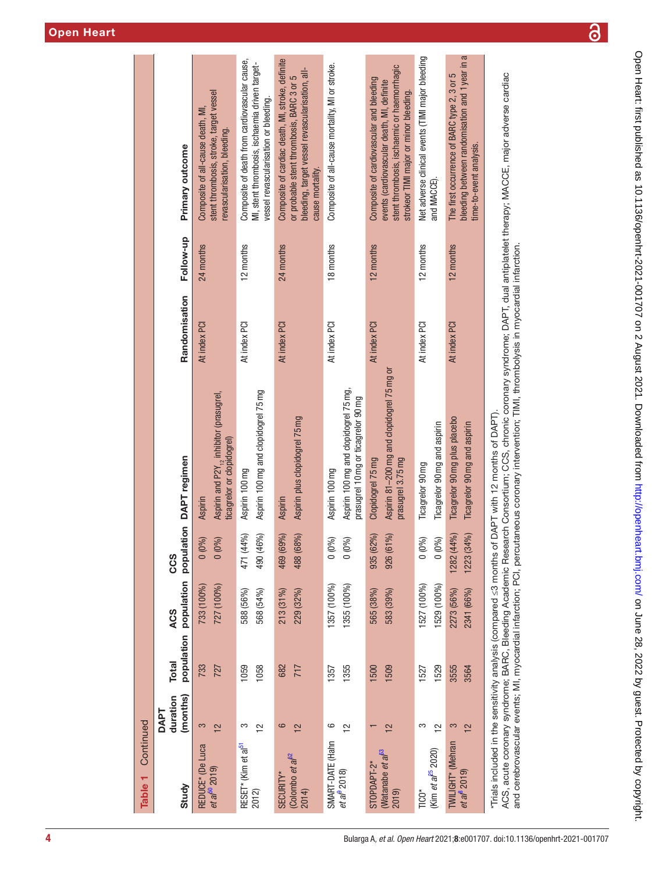| Aspirin and P2Y <sub>12</sub> inhibitor (prasugrel,<br>ticagrelor or clopidogrel)<br>population DAPT regimen<br><b>Aspirin</b><br>0(0%)<br>$0(0\%)$<br>CCS<br>population<br>727 (100%)<br>733 (100%)<br><b>ACS</b><br>population<br><b>Total</b><br>733<br>727<br>(months)<br>duration<br><b>DAPT</b><br>3<br>12<br>REDUCE* (De Luca<br>et a $^{60}$ 2019)<br>Study |               |           |                                                                                                                                                                                 |
|---------------------------------------------------------------------------------------------------------------------------------------------------------------------------------------------------------------------------------------------------------------------------------------------------------------------------------------------------------------------|---------------|-----------|---------------------------------------------------------------------------------------------------------------------------------------------------------------------------------|
|                                                                                                                                                                                                                                                                                                                                                                     | Randomisation | Follow-up | Primary outcome                                                                                                                                                                 |
|                                                                                                                                                                                                                                                                                                                                                                     | At index PCI  | 24 months | stent thrombosis, stroke, target vessel<br>Composite of all-cause death, MI,<br>revascularisation, bleeding.                                                                    |
| Aspirin 100 mg and clopidogrel 75 mg<br>Aspirin 100 mg<br>(96)<br>(%)<br>471 (44<br>490 (46<br>588 (56%)<br>568 (54%)<br>1059<br>1058<br>S<br>$\tilde{c}$<br>RESET* (Kim et al <sup>51</sup><br>2012)                                                                                                                                                               | At index PCI  | 12 months | Composite of death from cardiovascular cause,<br>MI, stent thrombosis, ischaemia driven target-<br>vessel revascularisation or bleeding.                                        |
| Aspirin plus clopidogrel 75mg<br><b>Aspirin</b><br>469 (69%)<br>488 (68%)<br>$213(31\%)$<br>229 (32%)<br>682<br>717<br>6<br>12<br>(Colombo <i>et al</i> $^{62}$<br>SECURITY*<br>2014                                                                                                                                                                                | At index PCI  | 24 months | Composite of cardiac death, MI, stroke, definite<br>bleeding, target vessel revascularisation, all-<br>or probable stent thrombosis, BARC 3 or 5<br>cause mortality.            |
| Aspirin 100 mg and clopidogrel 75 mg,<br>prasugrel 10 mg or ticagrelor 90 mg<br>Aspirin 100 mg<br>0(0%<br>0(0%)<br>1357 (100%)<br>1355 (100%)<br>1355<br>1357<br>6<br>$\tilde{c}$<br>SMART-DATE (Hahn<br><i>et al</i> 2018)                                                                                                                                         | At index PCI  | 18 months | Composite of all-cause mortality, MI or stroke.                                                                                                                                 |
| Aspirin 81-200 mg and clopidogrel 75 mg or<br>prasugrel 3.75 mg<br>Clopidogrel 75 mg<br>935 (62%)<br>%)<br>926 (61<br>565 (38%)<br>583 (39%)<br>1500<br>1509<br>12<br>$\overline{\phantom{0}}$<br>Watanabe et a <sup>p<sub>3</sub></sup><br>STOPDAPT-2*<br>2019)                                                                                                    | At index PCI  | 12 months | stent thrombosis, ischaemic or haemorrhagic<br>Composite of cardiovascular and bleeding<br>events (cardiovascular death, MI, definite<br>strokeor TIMI major or minor bleeding. |
| Ticagrelor 90 mg and aspirin<br>Ticagrelor 90 mg<br>$0 (0\%)$<br>0(0%)<br>1527 (100%)<br>1529 (100%)<br>1529<br>1527<br>S<br>$\frac{1}{2}$<br>(Kim et $aF^5$ 2020)<br>TICO*                                                                                                                                                                                         | At index PCI  | 12 months | Net adverse clinical events (TIMI major bleeding<br>and MACCE)                                                                                                                  |
| Ticagrelor 90 mg plus placebo<br>Ticagrelor 90 mg and aspirin<br>1282(44%)<br>1223 (34%)<br>2273 (56%)<br>2341 (66%)<br>3555<br>3564<br>S<br>12<br>TWILIGHT* (Mehran<br><i>et al</i> $2019$                                                                                                                                                                         | At index PCI  | 12 months | bleeding between randomisation and 1 year in<br>The first occurrence of BARC type 2, 3 or 5<br>time-to-event analysis.                                                          |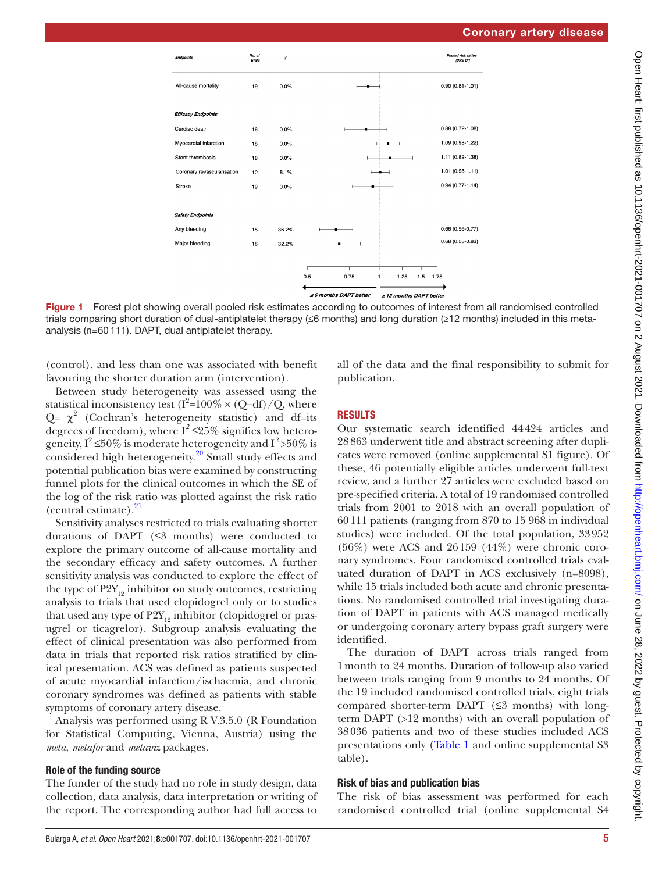

Figure 1 Forest plot showing overall pooled risk estimates according to outcomes of interest from all randomised controlled trials comparing short duration of dual-antiplatelet therapy (≤6 months) and long duration (≥12 months) included in this metaanalysis (n=60111). DAPT, dual antiplatelet therapy.

(control), and less than one was associated with benefit favouring the shorter duration arm (intervention).

Between study heterogeneity was assessed using the statistical inconsistency test  $(I^2=100\% \times (Q-df)/Q$ , where  $Q = \chi^2$  (Cochran's heterogeneity statistic) and df=its degrees of freedom), where  $I^2 \leq 25\%$  signifies low heterogeneity,  $I^2 \le 50\%$  is moderate heterogeneity and  $I^2 > 50\%$  is considered high heterogeneity.<sup>20</sup> Small study effects and potential publication bias were examined by constructing funnel plots for the clinical outcomes in which the SE of the log of the risk ratio was plotted against the risk ratio (central estimate). $^{21}$  $^{21}$  $^{21}$ 

Sensitivity analyses restricted to trials evaluating shorter durations of DAPT  $(≤3$  months) were conducted to explore the primary outcome of all-cause mortality and the secondary efficacy and safety outcomes. A further sensitivity analysis was conducted to explore the effect of the type of  $P2Y_{12}$  inhibitor on study outcomes, restricting analysis to trials that used clopidogrel only or to studies that used any type of  $P2Y_{12}$  inhibitor (clopidogrel or prasugrel or ticagrelor). Subgroup analysis evaluating the effect of clinical presentation was also performed from data in trials that reported risk ratios stratified by clinical presentation. ACS was defined as patients suspected of acute myocardial infarction/ischaemia, and chronic coronary syndromes was defined as patients with stable symptoms of coronary artery disease.

Analysis was performed using R V.3.5.0 (R Foundation for Statistical Computing, Vienna, Austria) using the *meta, metafor* and *metaviz* packages.

## Role of the funding source

The funder of the study had no role in study design, data collection, data analysis, data interpretation or writing of the report. The corresponding author had full access to

<span id="page-4-0"></span>all of the data and the final responsibility to submit for publication.

## RESULTS

Our systematic search identified 44424 articles and 28863 underwent title and abstract screening after duplicates were removed ([online supplemental S1 figure](https://dx.doi.org/10.1136/openhrt-2021-001707)). Of these, 46 potentially eligible articles underwent full-text review, and a further 27 articles were excluded based on pre-specified criteria. A total of 19 randomised controlled trials from 2001 to 2018 with an overall population of 60111 patients (ranging from 870 to 15 968 in individual studies) were included. Of the total population, 33952  $(56\%)$  were ACS and  $26159$   $(44\%)$  were chronic coronary syndromes. Four randomised controlled trials evaluated duration of DAPT in ACS exclusively (n=8098), while 15 trials included both acute and chronic presentations. No randomised controlled trial investigating duration of DAPT in patients with ACS managed medically or undergoing coronary artery bypass graft surgery were identified.

The duration of DAPT across trials ranged from 1month to 24 months. Duration of follow-up also varied between trials ranging from 9 months to 24 months. Of the 19 included randomised controlled trials, eight trials compared shorter-term DAPT  $(\leq 3$  months) with longterm DAPT (>12 months) with an overall population of 38036 patients and two of these studies included ACS presentations only ([Table](#page-2-0) 1 and [online supplemental S3](https://dx.doi.org/10.1136/openhrt-2021-001707)  [table](https://dx.doi.org/10.1136/openhrt-2021-001707)).

## Risk of bias and publication bias

The risk of bias assessment was performed for each randomised controlled trial [\(online supplemental S4](https://dx.doi.org/10.1136/openhrt-2021-001707)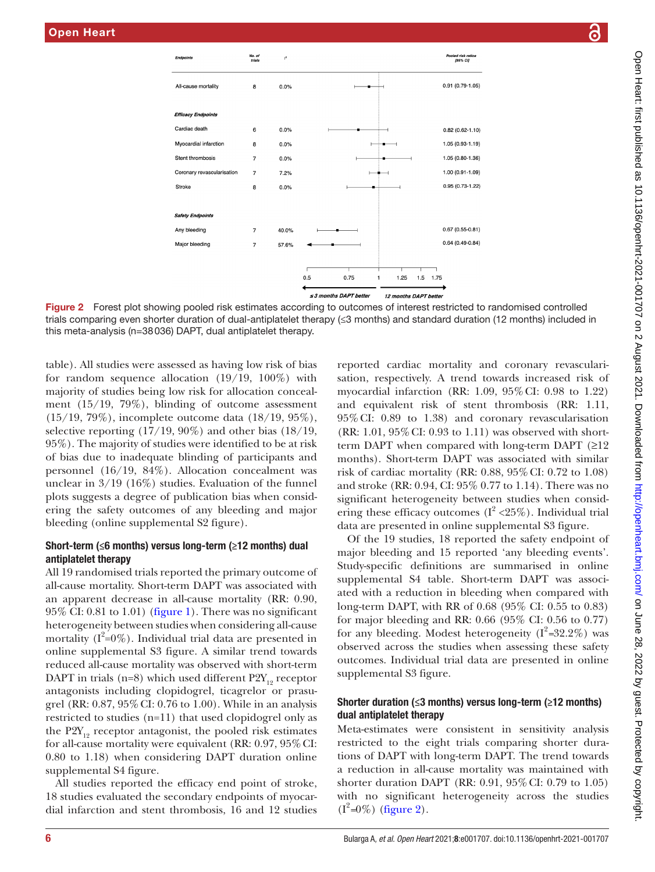

No. of<br>trials

 $I^2$ 

trials comparing even shorter duration of dual-antiplatelet therapy (≤3 months) and standard duration (12 months) included in this meta-analysis (n=38036) DAPT, dual antiplatelet therapy.

[table\)](https://dx.doi.org/10.1136/openhrt-2021-001707). All studies were assessed as having low risk of bias for random sequence allocation (19/19, 100%) with majority of studies being low risk for allocation concealment (15/19, 79%), blinding of outcome assessment (15/19, 79%), incomplete outcome data (18/19, 95%), selective reporting (17/19, 90%) and other bias (18/19, 95%). The majority of studies were identified to be at risk of bias due to inadequate blinding of participants and personnel (16/19, 84%). Allocation concealment was unclear in 3/19 (16%) studies. Evaluation of the funnel plots suggests a degree of publication bias when considering the safety outcomes of any bleeding and major bleeding ([online supplemental S2 figure](https://dx.doi.org/10.1136/openhrt-2021-001707)).

## Short-term ( $\leq$ 6 months) versus long-term ( $\geq$ 12 months) dual antiplatelet therapy

All 19 randomised trials reported the primary outcome of all-cause mortality. Short-term DAPT was associated with an apparent decrease in all-cause mortality (RR: 0.90,  $95\%$  CI: 0.81 to 1.01) [\(figure](#page-4-0) 1). There was no significant heterogeneity between studies when considering all-cause mortality ( $I^2=0\%$ ). Individual trial data are presented in [online supplemental S3 figure.](https://dx.doi.org/10.1136/openhrt-2021-001707) A similar trend towards reduced all-cause mortality was observed with short-term DAPT in trials (n=8) which used different  $P2Y_{12}$  receptor antagonists including clopidogrel, ticagrelor or prasugrel (RR: 0.87, 95%CI: 0.76 to 1.00). While in an analysis restricted to studies (n=11) that used clopidogrel only as the  $P2Y_{12}$  receptor antagonist, the pooled risk estimates for all-cause mortality were equivalent (RR: 0.97, 95%CI: 0.80 to 1.18) when considering DAPT duration [online](https://dx.doi.org/10.1136/openhrt-2021-001707) [supplemental S4 figure](https://dx.doi.org/10.1136/openhrt-2021-001707).

All studies reported the efficacy end point of stroke, 18 studies evaluated the secondary endpoints of myocardial infarction and stent thrombosis, 16 and 12 studies

<span id="page-5-0"></span>reported cardiac mortality and coronary revascularisation, respectively. A trend towards increased risk of myocardial infarction (RR: 1.09, 95%CI: 0.98 to 1.22) and equivalent risk of stent thrombosis (RR: 1.11, 95%CI: 0.89 to 1.38) and coronary revascularisation  $(RR: 1.01, 95\% CI: 0.93$  to 1.11) was observed with shortterm DAPT when compared with long-term DAPT (≥12 months). Short-term DAPT was associated with similar risk of cardiac mortality (RR: 0.88, 95%CI: 0.72 to 1.08) and stroke (RR: 0.94, CI: 95% 0.77 to 1.14). There was no significant heterogeneity between studies when considering these efficacy outcomes  $(I^2 < 25\%)$ . Individual trial data are presented in [online supplemental S3 figure](https://dx.doi.org/10.1136/openhrt-2021-001707).

Pooled risk ratio.

Of the 19 studies, 18 reported the safety endpoint of major bleeding and 15 reported 'any bleeding events'. Study-specific definitions are summarised in [online](https://dx.doi.org/10.1136/openhrt-2021-001707)  [supplemental S4 table](https://dx.doi.org/10.1136/openhrt-2021-001707). Short-term DAPT was associated with a reduction in bleeding when compared with long-term DAPT, with RR of 0.68 (95% CI: 0.55 to 0.83) for major bleeding and RR: 0.66 (95% CI: 0.56 to 0.77) for any bleeding. Modest heterogeneity  $(I^2=32.2\%)$  was observed across the studies when assessing these safety outcomes. Individual trial data are presented in [online](https://dx.doi.org/10.1136/openhrt-2021-001707)  [supplemental S3 figure.](https://dx.doi.org/10.1136/openhrt-2021-001707)

## Shorter duration (≤3 months) versus long-term (≥12 months) dual antiplatelet therapy

Meta-estimates were consistent in sensitivity analysis restricted to the eight trials comparing shorter durations of DAPT with long-term DAPT. The trend towards a reduction in all-cause mortality was maintained with shorter duration DAPT (RR: 0.91, 95%CI: 0.79 to 1.05) with no significant heterogeneity across the studies  $(I^2=0\%)$  [\(figure](#page-5-0) 2).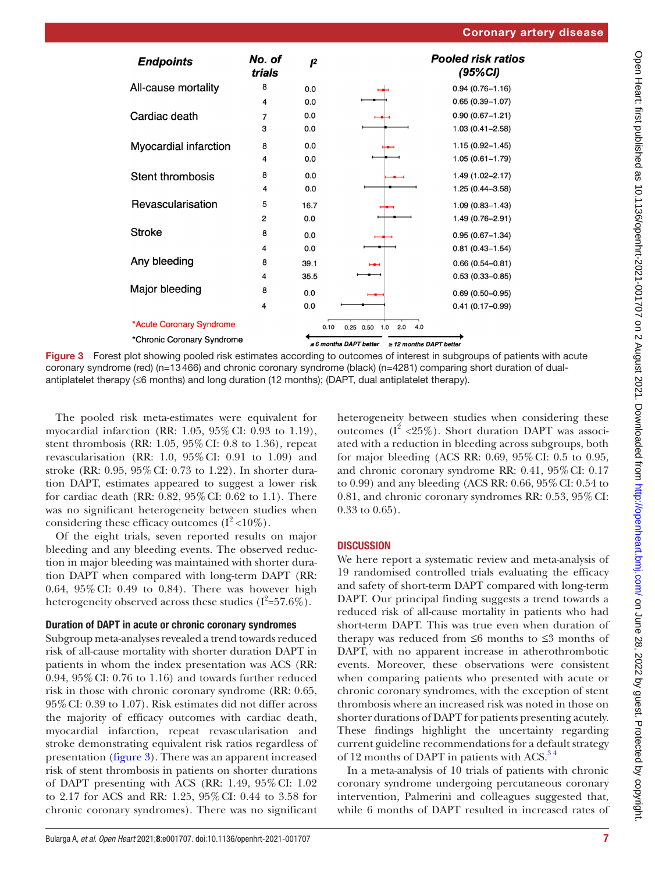

Figure 3 Forest plot showing pooled risk estimates according to outcomes of interest in subgroups of patients with acute coronary syndrome (red) (n=13466) and chronic coronary syndrome (black) (n=4281) comparing short duration of dualantiplatelet therapy (≤6 months) and long duration (12 months); (DAPT, dual antiplatelet therapy).

The pooled risk meta-estimates were equivalent for myocardial infarction (RR: 1.05, 95%CI: 0.93 to 1.19), stent thrombosis (RR: 1.05, 95%CI: 0.8 to 1.36), repeat revascularisation (RR: 1.0, 95%CI: 0.91 to 1.09) and stroke (RR: 0.95, 95%CI: 0.73 to 1.22). In shorter duration DAPT, estimates appeared to suggest a lower risk for cardiac death (RR: 0.82, 95%CI: 0.62 to 1.1). There was no significant heterogeneity between studies when considering these efficacy outcomes  $(I^2<10\%)$ .

Of the eight trials, seven reported results on major bleeding and any bleeding events. The observed reduction in major bleeding was maintained with shorter duration DAPT when compared with long-term DAPT (RR: 0.64, 95%CI: 0.49 to 0.84). There was however high heterogeneity observed across these studies  $(I^2=57.6\%).$ 

## Duration of DAPT in acute or chronic coronary syndromes

Subgroup meta-analyses revealed a trend towards reduced risk of all-cause mortality with shorter duration DAPT in patients in whom the index presentation was ACS (RR: 0.94, 95%CI: 0.76 to 1.16) and towards further reduced risk in those with chronic coronary syndrome (RR: 0.65, 95%CI: 0.39 to 1.07). Risk estimates did not differ across the majority of efficacy outcomes with cardiac death, myocardial infarction, repeat revascularisation and stroke demonstrating equivalent risk ratios regardless of presentation [\(figure](#page-6-0) 3). There was an apparent increased risk of stent thrombosis in patients on shorter durations of DAPT presenting with ACS (RR: 1.49, 95%CI: 1.02 to 2.17 for ACS and RR: 1.25, 95%CI: 0.44 to 3.58 for chronic coronary syndromes). There was no significant

<span id="page-6-0"></span>heterogeneity between studies when considering these outcomes  $(I^2 \langle 25\% \rangle)$ . Short duration DAPT was associated with a reduction in bleeding across subgroups, both for major bleeding (ACS RR: 0.69, 95%CI: 0.5 to 0.95, and chronic coronary syndrome RR: 0.41, 95%CI: 0.17 to 0.99) and any bleeding (ACS RR: 0.66, 95%CI: 0.54 to 0.81, and chronic coronary syndromes RR: 0.53, 95%CI: 0.33 to 0.65).

# **DISCUSSION**

We here report a systematic review and meta-analysis of 19 randomised controlled trials evaluating the efficacy and safety of short-term DAPT compared with long-term DAPT. Our principal finding suggests a trend towards a reduced risk of all-cause mortality in patients who had short-term DAPT. This was true even when duration of therapy was reduced from ≤6 months to ≤3 months of DAPT, with no apparent increase in atherothrombotic events. Moreover, these observations were consistent when comparing patients who presented with acute or chronic coronary syndromes, with the exception of stent thrombosis where an increased risk was noted in those on shorter durations of DAPT for patients presenting acutely. These findings highlight the uncertainty regarding current guideline recommendations for a default strategy of 12 months of DAPT in patients with ACS.<sup>34</sup>

In a meta-analysis of 10 trials of patients with chronic coronary syndrome undergoing percutaneous coronary intervention, Palmerini and colleagues suggested that, while 6 months of DAPT resulted in increased rates of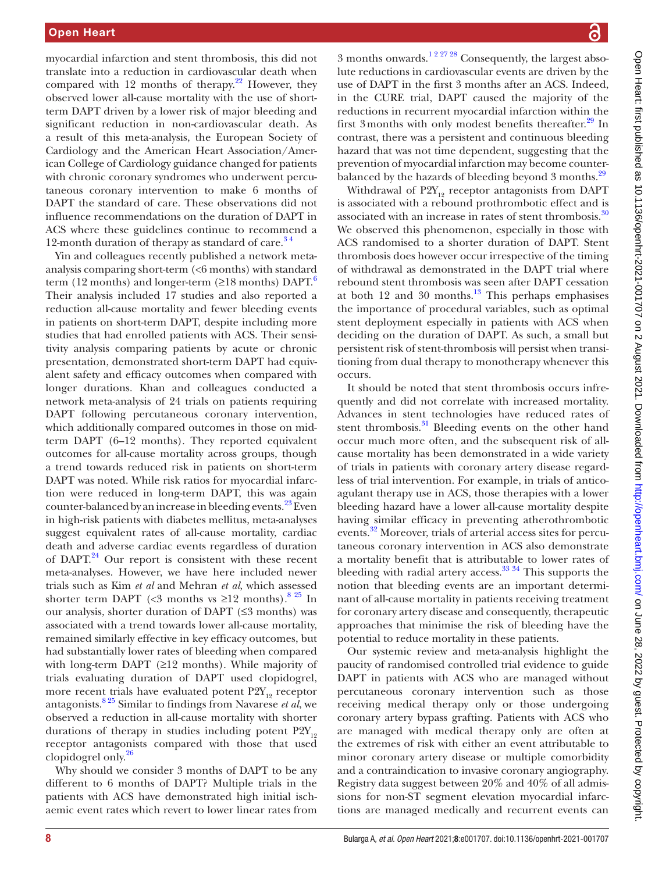myocardial infarction and stent thrombosis, this did not translate into a reduction in cardiovascular death when compared with 12 months of therapy. $2^2$  However, they observed lower all-cause mortality with the use of shortterm DAPT driven by a lower risk of major bleeding and significant reduction in non-cardiovascular death. As a result of this meta-analysis, the European Society of Cardiology and the American Heart Association/American College of Cardiology guidance changed for patients with chronic coronary syndromes who underwent percutaneous coronary intervention to make 6 months of DAPT the standard of care. These observations did not influence recommendations on the duration of DAPT in ACS where these guidelines continue to recommend a 12-month duration of therapy as standard of care.<sup>34</sup>

Yin and colleagues recently published a network metaanalysis comparing short-term (<6 months) with standard term (12 months) and longer-term ( $\geq$ 18 months) DAPT.<sup>[6](#page-9-23)</sup> Their analysis included 17 studies and also reported a reduction all-cause mortality and fewer bleeding events in patients on short-term DAPT, despite including more studies that had enrolled patients with ACS. Their sensitivity analysis comparing patients by acute or chronic presentation, demonstrated short-term DAPT had equivalent safety and efficacy outcomes when compared with longer durations. Khan and colleagues conducted a network meta-analysis of 24 trials on patients requiring DAPT following percutaneous coronary intervention, which additionally compared outcomes in those on midterm DAPT (6–12 months). They reported equivalent outcomes for all-cause mortality across groups, though a trend towards reduced risk in patients on short-term DAPT was noted. While risk ratios for myocardial infarction were reduced in long-term DAPT, this was again counter-balanced by an increase in bleeding events.<sup>23</sup> Even in high-risk patients with diabetes mellitus, meta-analyses suggest equivalent rates of all-cause mortality, cardiac death and adverse cardiac events regardless of duration of  $DAPT<sup>24</sup>$  Our report is consistent with these recent meta-analyses. However, we have here included newer trials such as Kim *et al* and Mehran *et al*, which assessed shorter term DAPT (<3 months vs  $\geq$ 12 months).<sup>8 25</sup> In our analysis, shorter duration of DAPT  $(\leq 3 \text{ months})$  was associated with a trend towards lower all-cause mortality, remained similarly effective in key efficacy outcomes, but had substantially lower rates of bleeding when compared with long-term DAPT  $(\geq 12 \text{ months})$ . While majority of trials evaluating duration of DAPT used clopidogrel, more recent trials have evaluated potent  $P2Y_{12}$  receptor antagonists.[8 25](#page-9-19) Similar to findings from Navarese *et al*, we observed a reduction in all-cause mortality with shorter durations of therapy in studies including potent  $P2Y_{12}$ receptor antagonists compared with those that used clopidogrel only.[26](#page-9-26)

Why should we consider 3 months of DAPT to be any different to 6 months of DAPT? Multiple trials in the patients with ACS have demonstrated high initial ischaemic event rates which revert to lower linear rates from

3 months onwards.[1 2 27 28](#page-8-0) Consequently, the largest absolute reductions in cardiovascular events are driven by the use of DAPT in the first 3 months after an ACS. Indeed, in the CURE trial, DAPT caused the majority of the reductions in recurrent myocardial infarction within the first 3 months with only modest benefits thereafter.<sup>[29](#page-9-27)</sup> In contrast, there was a persistent and continuous bleeding hazard that was not time dependent, suggesting that the prevention of myocardial infarction may become counterbalanced by the hazards of bleeding beyond 3 months.<sup>29</sup>

Withdrawal of  $P2Y_{12}$  receptor antagonists from DAPT is associated with a rebound prothrombotic effect and is associated with an increase in rates of stent thrombosis.<sup>[30](#page-9-28)</sup> We observed this phenomenon, especially in those with ACS randomised to a shorter duration of DAPT. Stent thrombosis does however occur irrespective of the timing of withdrawal as demonstrated in the DAPT trial where rebound stent thrombosis was seen after DAPT cessation at both  $12$  and  $30$  months.<sup>13</sup> This perhaps emphasises the importance of procedural variables, such as optimal stent deployment especially in patients with ACS when deciding on the duration of DAPT. As such, a small but persistent risk of stent-thrombosis will persist when transitioning from dual therapy to monotherapy whenever this occurs.

It should be noted that stent thrombosis occurs infrequently and did not correlate with increased mortality. Advances in stent technologies have reduced rates of stent thrombosis. $31$  Bleeding events on the other hand occur much more often, and the subsequent risk of allcause mortality has been demonstrated in a wide variety of trials in patients with coronary artery disease regardless of trial intervention. For example, in trials of anticoagulant therapy use in ACS, those therapies with a lower bleeding hazard have a lower all-cause mortality despite having similar efficacy in preventing atherothrombotic events.<sup>32</sup> Moreover, trials of arterial access sites for percutaneous coronary intervention in ACS also demonstrate a mortality benefit that is attributable to lower rates of bleeding with radial artery  $\arccos$ .<sup>33 34</sup> This supports the notion that bleeding events are an important determinant of all-cause mortality in patients receiving treatment for coronary artery disease and consequently, therapeutic approaches that minimise the risk of bleeding have the potential to reduce mortality in these patients.

Our systemic review and meta-analysis highlight the paucity of randomised controlled trial evidence to guide DAPT in patients with ACS who are managed without percutaneous coronary intervention such as those receiving medical therapy only or those undergoing coronary artery bypass grafting. Patients with ACS who are managed with medical therapy only are often at the extremes of risk with either an event attributable to minor coronary artery disease or multiple comorbidity and a contraindication to invasive coronary angiography. Registry data suggest between 20% and 40% of all admissions for non-ST segment elevation myocardial infarctions are managed medically and recurrent events can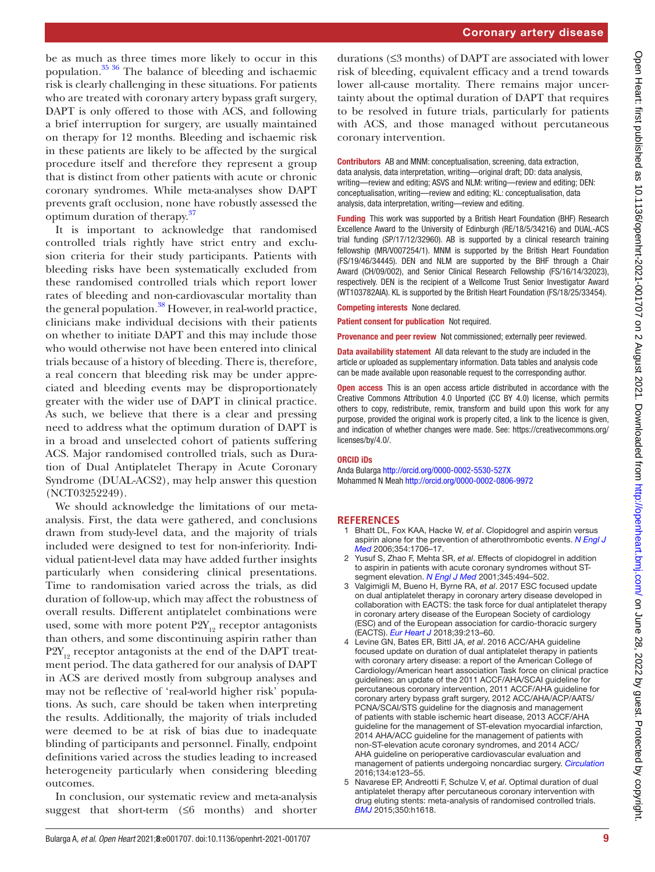be as much as three times more likely to occur in this population.[35 36](#page-9-33) The balance of bleeding and ischaemic risk is clearly challenging in these situations. For patients who are treated with coronary artery bypass graft surgery, DAPT is only offered to those with ACS, and following a brief interruption for surgery, are usually maintained on therapy for 12 months. Bleeding and ischaemic risk in these patients are likely to be affected by the surgical procedure itself and therefore they represent a group that is distinct from other patients with acute or chronic coronary syndromes. While meta-analyses show DAPT prevents graft occlusion, none have robustly assessed the optimum duration of therapy.<sup>[37](#page-9-34)</sup>

It is important to acknowledge that randomised controlled trials rightly have strict entry and exclusion criteria for their study participants. Patients with bleeding risks have been systematically excluded from these randomised controlled trials which report lower rates of bleeding and non-cardiovascular mortality than the general population.<sup>38</sup> However, in real-world practice, clinicians make individual decisions with their patients on whether to initiate DAPT and this may include those who would otherwise not have been entered into clinical trials because of a history of bleeding. There is, therefore, a real concern that bleeding risk may be under appreciated and bleeding events may be disproportionately greater with the wider use of DAPT in clinical practice. As such, we believe that there is a clear and pressing need to address what the optimum duration of DAPT is in a broad and unselected cohort of patients suffering ACS. Major randomised controlled trials, such as Duration of Dual Antiplatelet Therapy in Acute Coronary Syndrome (DUAL-ACS2), may help answer this question (NCT03252249).

We should acknowledge the limitations of our metaanalysis. First, the data were gathered, and conclusions drawn from study-level data, and the majority of trials included were designed to test for non-inferiority. Individual patient-level data may have added further insights particularly when considering clinical presentations. Time to randomisation varied across the trials, as did duration of follow-up, which may affect the robustness of overall results. Different antiplatelet combinations were used, some with more potent  $P2Y_{12}$  receptor antagonists than others, and some discontinuing aspirin rather than  $P2Y_{12}$  receptor antagonists at the end of the DAPT treatment period. The data gathered for our analysis of DAPT in ACS are derived mostly from subgroup analyses and may not be reflective of 'real-world higher risk' populations. As such, care should be taken when interpreting the results. Additionally, the majority of trials included were deemed to be at risk of bias due to inadequate blinding of participants and personnel. Finally, endpoint definitions varied across the studies leading to increased heterogeneity particularly when considering bleeding outcomes.

In conclusion, our systematic review and meta-analysis suggest that short-term  $(≤6$  months) and shorter durations (≤3 months) of DAPT are associated with lower risk of bleeding, equivalent efficacy and a trend towards lower all-cause mortality. There remains major uncertainty about the optimal duration of DAPT that requires to be resolved in future trials, particularly for patients with ACS, and those managed without percutaneous coronary intervention.

Contributors AB and MNM: conceptualisation, screening, data extraction, data analysis, data interpretation, writing—original draft; DD: data analysis, writing—review and editing; ASVS and NLM: writing—review and editing; DEN: conceptualisation, writing—review and editing; KL: conceptualisation, data analysis, data interpretation, writing—review and editing.

**Funding** This work was supported by a British Heart Foundation (BHF) Research Excellence Award to the University of Edinburgh (RE/18/5/34216) and DUAL-ACS trial funding (SP/17/12/32960). AB is supported by a clinical research training fellowship (MR/V007254/1). MNM is supported by the British Heart Foundation (FS/19/46/34445). DEN and NLM are supported by the BHF through a Chair Award (CH/09/002), and Senior Clinical Research Fellowship (FS/16/14/32023), respectively. DEN is the recipient of a Wellcome Trust Senior Investigator Award (WT103782AIA). KL is supported by the British Heart Foundation (FS/18/25/33454).

Competing interests None declared.

Patient consent for publication Not required.

Provenance and peer review Not commissioned; externally peer reviewed.

Data availability statement All data relevant to the study are included in the article or uploaded as supplementary information. Data tables and analysis code can be made available upon reasonable request to the corresponding author.

Open access This is an open access article distributed in accordance with the Creative Commons Attribution 4.0 Unported (CC BY 4.0) license, which permits others to copy, redistribute, remix, transform and build upon this work for any purpose, provided the original work is properly cited, a link to the licence is given, and indication of whether changes were made. See: [https://creativecommons.org/](https://creativecommons.org/licenses/by/4.0/) [licenses/by/4.0/](https://creativecommons.org/licenses/by/4.0/).

## ORCID iDs

Anda Bularga<http://orcid.org/0000-0002-5530-527X> Mohammed N Meah <http://orcid.org/0000-0002-0806-9972>

## **REFERENCES**

- <span id="page-8-0"></span>1 Bhatt DL, Fox KAA, Hacke W, *et al*. Clopidogrel and aspirin versus aspirin alone for the prevention of atherothrombotic events. *[N Engl J](http://dx.doi.org/10.1056/NEJMoa060989)  [Med](http://dx.doi.org/10.1056/NEJMoa060989)* 2006;354:1706–17.
- 2 Yusuf S, Zhao F, Mehta SR, *et al*. Effects of clopidogrel in addition to aspirin in patients with acute coronary syndromes without STsegment elevation. *[N Engl J Med](http://dx.doi.org/10.1056/NEJMoa010746)* 2001;345:494–502.
- <span id="page-8-1"></span>3 Valgimigli M, Bueno H, Byrne RA, *et al*. 2017 ESC focused update on dual antiplatelet therapy in coronary artery disease developed in collaboration with EACTS: the task force for dual antiplatelet therapy in coronary artery disease of the European Society of cardiology (ESC) and of the European association for cardio-thoracic surgery (EACTS). *[Eur Heart J](http://dx.doi.org/10.1093/eurheartj/ehx419)* 2018;39:213–60.
- 4 Levine GN, Bates ER, Bittl JA, *et al*. 2016 ACC/AHA guideline focused update on duration of dual antiplatelet therapy in patients with coronary artery disease: a report of the American College of Cardiology/American heart association Task force on clinical practice guidelines: an update of the 2011 ACCF/AHA/SCAI guideline for percutaneous coronary intervention, 2011 ACCF/AHA guideline for coronary artery bypass graft surgery, 2012 ACC/AHA/ACP/AATS/ PCNA/SCAI/STS guideline for the diagnosis and management of patients with stable ischemic heart disease, 2013 ACCF/AHA guideline for the management of ST-elevation myocardial infarction, 2014 AHA/ACC guideline for the management of patients with non-ST-elevation acute coronary syndromes, and 2014 ACC/ AHA guideline on perioperative cardiovascular evaluation and management of patients undergoing noncardiac surgery. *[Circulation](http://dx.doi.org/10.1161/CIR.0000000000000404)* 2016;134:e123–55.
- <span id="page-8-2"></span>5 Navarese EP, Andreotti F, Schulze V, *et al*. Optimal duration of dual antiplatelet therapy after percutaneous coronary intervention with drug eluting stents: meta-analysis of randomised controlled trials. *[BMJ](http://dx.doi.org/10.1136/bmj.h1618)* 2015;350:h1618.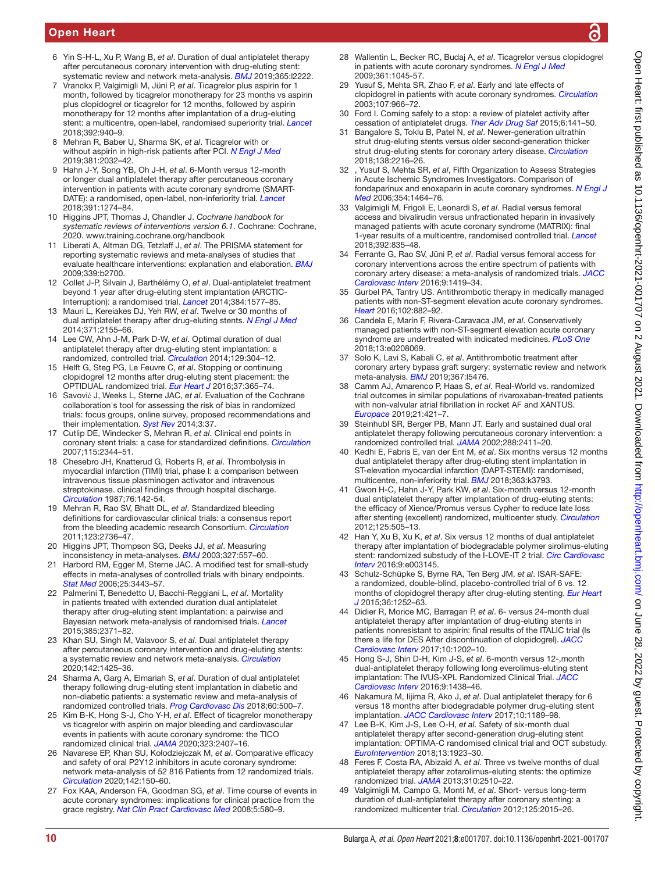# Open Heart

- <span id="page-9-23"></span>6 Yin S-H-L, Xu P, Wang B, *et al*. Duration of dual antiplatelet therapy after percutaneous coronary intervention with drug-eluting stent: systematic review and network meta-analysis. *[BMJ](http://dx.doi.org/10.1136/bmj.l2222)* 2019;365:l2222.
- <span id="page-9-0"></span>7 Vranckx P, Valgimigli M, Jüni P, *et al*. Ticagrelor plus aspirin for 1 month, followed by ticagrelor monotherapy for 23 months vs aspirin plus clopidogrel or ticagrelor for 12 months, followed by aspirin monotherapy for 12 months after implantation of a drug-eluting stent: a multicentre, open-label, randomised superiority trial. *[Lancet](http://dx.doi.org/10.1016/S0140-6736(18)31858-0)* 2018;392:940–9.
- <span id="page-9-19"></span>8 Mehran R, Baber U, Sharma SK, *et al*. Ticagrelor with or without aspirin in high-risk patients after PCI. *[N Engl J Med](http://dx.doi.org/10.1056/NEJMoa1908419)* 2019;381:2032–42.
- <span id="page-9-17"></span>9 Hahn J-Y, Song YB, Oh J-H, *et al*. 6-Month versus 12-month or longer dual antiplatelet therapy after percutaneous coronary intervention in patients with acute coronary syndrome (SMART-DATE): a randomised, open-label, non-inferiority trial. *[Lancet](http://dx.doi.org/10.1016/S0140-6736(18)30493-8)* 2018;391:1274–84.
- <span id="page-9-1"></span>10 Higgins JPT, Thomas J, Chandler J. *Cochrane handbook for systematic reviews of interventions version 6.1*. Cochrane: Cochrane, 2020.<www.training.cochrane.org/handbook>
- 11 Liberati A, Altman DG, Tetzlaff J, *et al*. The PRISMA statement for reporting systematic reviews and meta-analyses of studies that evaluate healthcare interventions: explanation and elaboration. *[BMJ](http://dx.doi.org/10.1136/bmj.b2700)* 2009;339:b2700.
- <span id="page-9-2"></span>12 Collet J-P, Silvain J, Barthélémy O, *et al*. Dual-antiplatelet treatment beyond 1 year after drug-eluting stent implantation (ARCTIC-Interruption): a randomised trial. *[Lancet](http://dx.doi.org/10.1016/S0140-6736(14)60612-7)* 2014;384:1577–85.
- <span id="page-9-29"></span>13 Mauri L, Kereiakes DJ, Yeh RW, *et al*. Twelve or 30 months of dual antiplatelet therapy after drug-eluting stents. *[N Engl J Med](http://dx.doi.org/10.1056/NEJMoa1409312)* 2014;371:2155–66.
- 14 Lee CW, Ahn J-M, Park D-W, *et al*. Optimal duration of dual antiplatelet therapy after drug-eluting stent implantation: a randomized, controlled trial. *[Circulation](http://dx.doi.org/10.1161/CIRCULATIONAHA.113.003303)* 2014;129:304–12.
- 15 Helft G, Steg PG, Le Feuvre C, *et al*. Stopping or continuing clopidogrel 12 months after drug-eluting stent placement: the OPTIDUAL randomized trial. *[Eur Heart J](http://dx.doi.org/10.1093/eurheartj/ehv481)* 2016;37:365–74.
- <span id="page-9-3"></span>16 Savović J, Weeks L, Sterne JAC, *et al*. Evaluation of the Cochrane collaboration's tool for assessing the risk of bias in randomized trials: focus groups, online survey, proposed recommendations and their implementation. *[Syst Rev](http://dx.doi.org/10.1186/2046-4053-3-37)* 2014;3:37.
- <span id="page-9-4"></span>17 Cutlip DE, Windecker S, Mehran R, *et al*. Clinical end points in coronary stent trials: a case for standardized definitions. *[Circulation](http://dx.doi.org/10.1161/CIRCULATIONAHA.106.685313)* 2007;115:2344–51.
- <span id="page-9-5"></span>18 Chesebro JH, Knatterud G, Roberts R, *et al*. Thrombolysis in myocardial infarction (TIMI) trial, phase I: a comparison between intravenous tissue plasminogen activator and intravenous streptokinase. clinical findings through hospital discharge. *[Circulation](http://dx.doi.org/10.1161/01.cir.76.1.142)* 1987;76:142-54.
- 19 Mehran R, Rao SV, Bhatt DL, *et al*. Standardized bleeding definitions for cardiovascular clinical trials: a consensus report from the bleeding academic research Consortium. *[Circulation](http://dx.doi.org/10.1161/CIRCULATIONAHA.110.009449)* 2011;123:2736–47.
- <span id="page-9-20"></span>20 Higgins JPT, Thompson SG, Deeks JJ, *et al*. Measuring inconsistency in meta-analyses. *[BMJ](http://dx.doi.org/10.1136/bmj.327.7414.557)* 2003;327:557–60.
- <span id="page-9-21"></span>21 Harbord RM, Egger M, Sterne JAC. A modified test for small-study effects in meta-analyses of controlled trials with binary endpoints. *[Stat Med](http://dx.doi.org/10.1002/sim.2380)* 2006;25:3443–57.
- <span id="page-9-22"></span>22 Palmerini T, Benedetto U, Bacchi-Reggiani L, *et al*. Mortality in patients treated with extended duration dual antiplatelet therapy after drug-eluting stent implantation: a pairwise and Bayesian network meta-analysis of randomised trials. *[Lancet](http://dx.doi.org/10.1016/S0140-6736(15)60263-X)* 2015;385:2371–82.
- <span id="page-9-24"></span>23 Khan SU, Singh M, Valavoor S, *et al*. Dual antiplatelet therapy after percutaneous coronary intervention and drug-eluting stents: a systematic review and network meta-analysis. *[Circulation](http://dx.doi.org/10.1161/CIRCULATIONAHA.120.046308)* 2020;142:1425–36.
- <span id="page-9-25"></span>24 Sharma A, Garg A, Elmariah S, *et al*. Duration of dual antiplatelet therapy following drug-eluting stent implantation in diabetic and non-diabetic patients: a systematic review and meta-analysis of randomized controlled trials. *[Prog Cardiovasc Dis](http://dx.doi.org/10.1016/j.pcad.2017.12.003)* 2018;60:500–7.
- <span id="page-9-18"></span>25 Kim B-K, Hong S-J, Cho Y-H, *et al*. Effect of ticagrelor monotherapy vs ticagrelor with aspirin on major bleeding and cardiovascular events in patients with acute coronary syndrome: the TICO randomized clinical trial. *[JAMA](http://dx.doi.org/10.1001/jama.2020.7580)* 2020;323:2407–16.
- <span id="page-9-26"></span>26 Navarese EP, Khan SU, Kołodziejczak M, *et al*. Comparative efficacy and safety of oral P2Y12 inhibitors in acute coronary syndrome: network meta-analysis of 52 816 Patients from 12 randomized trials. *[Circulation](http://dx.doi.org/10.1161/CIRCULATIONAHA.120.046786)* 2020;142:150–60.
- 27 Fox KAA, Anderson FA, Goodman SG, *et al*. Time course of events in acute coronary syndromes: implications for clinical practice from the grace registry. *[Nat Clin Pract Cardiovasc Med](http://dx.doi.org/10.1038/ncpcardio1302)* 2008;5:580–9.
- 28 Wallentin L, Becker RC, Budaj A, *et al*. Ticagrelor versus clopidogrel in patients with acute coronary syndromes. *[N Engl J Med](http://dx.doi.org/10.1056/NEJMoa0904327)* 2009;361:1045-57.
- <span id="page-9-27"></span>29 Yusuf S, Mehta SR, Zhao F, *et al*. Early and late effects of clopidogrel in patients with acute coronary syndromes. *[Circulation](http://dx.doi.org/10.1161/01.cir.0000051362.96946.15)* 2003;107:966–72.
- <span id="page-9-28"></span>30 Ford I. Coming safely to a stop: a review of platelet activity after cessation of antiplatelet drugs. *[Ther Adv Drug Saf](http://dx.doi.org/10.1177/2042098615588085)* 2015;6:141–50.
- <span id="page-9-30"></span>31 Bangalore S, Toklu B, Patel N, *et al*. Newer-generation ultrathin strut drug-eluting stents versus older second-generation thicker strut drug-eluting stents for coronary artery disease. *[Circulation](http://dx.doi.org/10.1161/CIRCULATIONAHA.118.034456)* 2018;138:2216–26.
- <span id="page-9-31"></span>32 , Yusuf S, Mehta SR, *et al*, Fifth Organization to Assess Strategies in Acute Ischemic Syndromes Investigators. Comparison of fondaparinux and enoxaparin in acute coronary syndromes. *[N Engl J](http://dx.doi.org/10.1056/NEJMoa055443)  [Med](http://dx.doi.org/10.1056/NEJMoa055443)* 2006;354:1464–76.
- <span id="page-9-32"></span>33 Valgimigli M, Frigoli E, Leonardi S, *et al*. Radial versus femoral access and bivalirudin versus unfractionated heparin in invasively managed patients with acute coronary syndrome (MATRIX): final 1-year results of a multicentre, randomised controlled trial. *[Lancet](http://dx.doi.org/10.1016/S0140-6736(18)31714-8)* 2018;392:835–48.
- 34 Ferrante G, Rao SV, Jüni P, *et al*. Radial versus femoral access for coronary interventions across the entire spectrum of patients with coronary artery disease: a meta-analysis of randomized trials. *[JACC](http://dx.doi.org/10.1016/j.jcin.2016.04.014)  [Cardiovasc Interv](http://dx.doi.org/10.1016/j.jcin.2016.04.014)* 2016;9:1419–34.
- <span id="page-9-33"></span>35 Gurbel PA, Tantry US. Antithrombotic therapy in medically managed patients with non-ST-segment elevation acute coronary syndromes. *[Heart](http://dx.doi.org/10.1136/heartjnl-2014-306695)* 2016;102:882–92.
- 36 Candela E, Marín F, Rivera-Caravaca JM, *et al*. Conservatively managed patients with non-ST-segment elevation acute coronary syndrome are undertreated with indicated medicines. *[PLoS One](http://dx.doi.org/10.1371/journal.pone.0208069)* 2018;13:e0208069.
- <span id="page-9-34"></span>37 Solo K, Lavi S, Kabali C, *et al*. Antithrombotic treatment after coronary artery bypass graft surgery: systematic review and network meta-analysis. *[BMJ](http://dx.doi.org/10.1136/bmj.l5476)* 2019;367:l5476.
- <span id="page-9-35"></span>38 Camm AJ, Amarenco P, Haas S, *et al*. Real-World vs. randomized trial outcomes in similar populations of rivaroxaban-treated patients with non-valvular atrial fibrillation in rocket AF and XANTUS. *[Europace](http://dx.doi.org/10.1093/europace/euy160)* 2019;21:421–7.
- <span id="page-9-6"></span>39 Steinhubl SR, Berger PB, Mann JT. Early and sustained dual oral antiplatelet therapy following percutaneous coronary intervention: a randomized controlled trial. *[JAMA](http://dx.doi.org/10.1001/jama.288.19.2411)* 2002;288:2411–20.
- <span id="page-9-7"></span>40 Kedhi E, Fabris E, van der Ent M, *et al*. Six months versus 12 months dual antiplatelet therapy after drug-eluting stent implantation in ST-elevation myocardial infarction (DAPT-STEMI): randomised, multicentre, non-inferiority trial. *[BMJ](http://dx.doi.org/10.1136/bmj.k3793)* 2018;363:k3793.
- <span id="page-9-8"></span>41 Gwon H-C, Hahn J-Y, Park KW, *et al*. Six-month versus 12-month dual antiplatelet therapy after implantation of drug-eluting stents: the efficacy of Xience/Promus versus Cypher to reduce late loss after stenting (excellent) randomized, multicenter study. *[Circulation](http://dx.doi.org/10.1161/CIRCULATIONAHA.111.059022)* 2012;125:505–13.
- <span id="page-9-9"></span>42 Han Y, Xu B, Xu K, *et al*. Six versus 12 months of dual antiplatelet therapy after implantation of biodegradable polymer sirolimus-eluting stent: randomized substudy of the I-LOVE-IT 2 trial. *[Circ Cardiovasc](http://dx.doi.org/10.1161/CIRCINTERVENTIONS.115.003145)  [Interv](http://dx.doi.org/10.1161/CIRCINTERVENTIONS.115.003145)* 2016;9:e003145.
- <span id="page-9-10"></span>43 Schulz-Schüpke S, Byrne RA, Ten Berg JM, *et al*. ISAR-SAFE: a randomized, double-blind, placebo-controlled trial of 6 vs. 12 months of clopidogrel therapy after drug-eluting stenting. *[Eur Heart](http://dx.doi.org/10.1093/eurheartj/ehu523)  [J](http://dx.doi.org/10.1093/eurheartj/ehu523)* 2015;36:1252–63.
- <span id="page-9-11"></span>44 Didier R, Morice MC, Barragan P, *et al*. 6- versus 24-month dual antiplatelet therapy after implantation of drug-eluting stents in patients nonresistant to aspirin: final results of the ITALIC trial (Is there a life for DES After discontinuation of clopidogrel). *[JACC](http://dx.doi.org/10.1016/j.jcin.2017.03.049)  [Cardiovasc Interv](http://dx.doi.org/10.1016/j.jcin.2017.03.049)* 2017;10:1202–10.
- <span id="page-9-12"></span>45 Hong S-J, Shin D-H, Kim J-S, *et al*. 6-month versus 12-,month dual-antiplatelet therapy following long everolimus-eluting stent implantation: The IVUS-XPL Randomized Clinical Trial. *[JACC](http://dx.doi.org/10.1016/j.jcin.2016.04.036)  [Cardiovasc Interv](http://dx.doi.org/10.1016/j.jcin.2016.04.036)* 2016;9:1438–46.
- <span id="page-9-13"></span>46 Nakamura M, Iijima R, Ako J, *et al*. Dual antiplatelet therapy for 6 versus 18 months after biodegradable polymer drug-eluting stent implantation. *[JACC Cardiovasc Interv](http://dx.doi.org/10.1016/j.jcin.2017.04.019)* 2017;10:1189–98.
- <span id="page-9-14"></span>47 Lee B-K, Kim J-S, Lee O-H, *et al*. Safety of six-month dual antiplatelet therapy after second-generation drug-eluting stent implantation: OPTIMA-C randomised clinical trial and OCT substudy. *[EuroIntervention](http://dx.doi.org/10.4244/EIJ-D-17-00792)* 2018;13:1923–30.
- <span id="page-9-15"></span>48 Feres F, Costa RA, Abizaid A, *et al*. Three vs twelve months of dual antiplatelet therapy after zotarolimus-eluting stents: the optimize randomized trial. *[JAMA](http://dx.doi.org/10.1001/jama.2013.282183)* 2013;310:2510–22.
- <span id="page-9-16"></span>49 Valgimigli M, Campo G, Monti M, *et al*. Short- versus long-term duration of dual-antiplatelet therapy after coronary stenting: a randomized multicenter trial. *[Circulation](http://dx.doi.org/10.1161/CIRCULATIONAHA.111.071589)* 2012;125:2015–26.